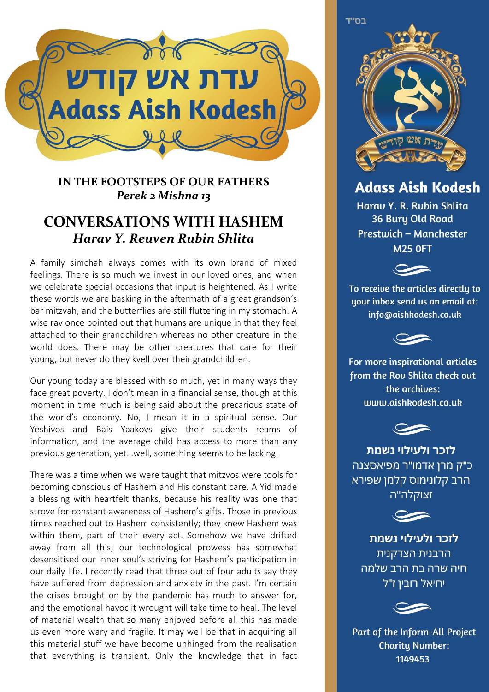

## **IN THE FOOTSTEPS OF OUR FATHERS** *Perek 2 Mishna 13*

## **CONVERSATIONS WITH HASHEM** *Harav Y. Reuven Rubin Shlita*

A family simchah always comes with its own brand of mixed feelings. There is so much we invest in our loved ones, and when we celebrate special occasions that input is heightened. As I write these words we are basking in the aftermath of a great grandson's bar mitzvah, and the butterflies are still fluttering in my stomach. A wise rav once pointed out that humans are unique in that they feel attached to their grandchildren whereas no other creature in the world does. There may be other creatures that care for their young, but never do they kvell over their grandchildren.

Our young today are blessed with so much, yet in many ways they face great poverty. I don't mean in a financial sense, though at this moment in time much is being said about the precarious state of the world's economy. No, I mean it in a spiritual sense. Our Yeshivos and Bais Yaakovs give their students reams of information, and the average child has access to more than any previous generation, yet…well, something seems to be lacking.

There was a time when we were taught that mitzvos were tools for becoming conscious of Hashem and His constant care. A Yid made a blessing with heartfelt thanks, because his reality was one that strove for constant awareness of Hashem's gifts. Those in previous times reached out to Hashem consistently; they knew Hashem was within them, part of their every act. Somehow we have drifted away from all this; our technological prowess has somewhat desensitised our inner soul's striving for Hashem's participation in our daily life. I recently read that three out of four adults say they have suffered from depression and anxiety in the past. I'm certain the crises brought on by the pandemic has much to answer for, and the emotional havoc it wrought will take time to heal. The level of material wealth that so many enjoyed before all this has made us even more wary and fragile. It may well be that in acquiring all this material stuff we have become unhinged from the realisation that everything is transient. Only the knowledge that in fact



**Adass Aish Kodesh** 

Harau Y. R. Rubin Shlita 36 Bury Old Road Prestwich - Manchester **M25 OFT** 



To receive the articles directly to uour inbox send us an email at: info@aishkodesh.co.uk



For more inspirational articles from the Rou Shlita check out the archives: www.aishkodesh.co.uk



לזכר ולעילוי נשמת כ"ק מרן אדמו"ר מפיאסצנה הרב קלונימוס קלמן שפירא זצוקלה"ה



לזכר ולעילוי נשמת הרבנית הצדקנית חיה שרה בת הרב שלמה יחיאל רובין ז"ל



Part of the Inform-All Project **Charity Number:** 1149453